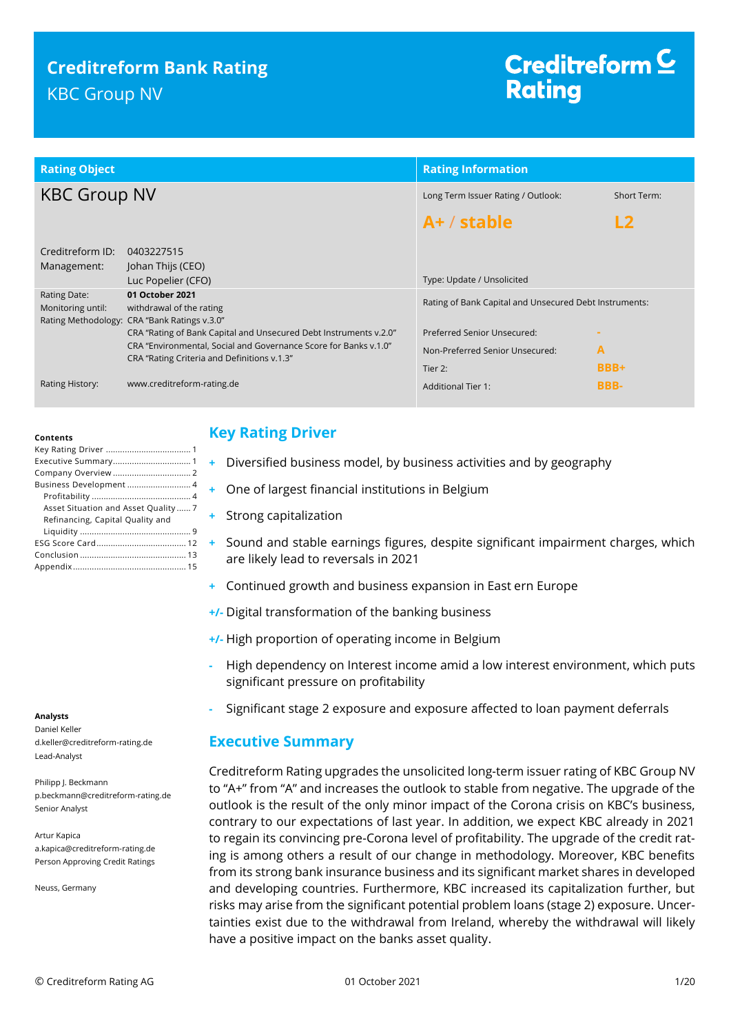# **Creditreform Bank Rating** KBC Group NV

# Creditreform  $\subseteq$ **Rating**

| <b>Rating Object</b>              |                                                                                                                                                                                      | <b>Rating Information</b>                              |               |  |
|-----------------------------------|--------------------------------------------------------------------------------------------------------------------------------------------------------------------------------------|--------------------------------------------------------|---------------|--|
| <b>KBC Group NV</b>               |                                                                                                                                                                                      | Long Term Issuer Rating / Outlook:                     | Short Term:   |  |
|                                   |                                                                                                                                                                                      | $A+ /$ stable                                          | $\mathsf{L2}$ |  |
| Creditreform ID:<br>Management:   | 0403227515<br>Johan Thijs (CEO)<br>Luc Popelier (CFO)                                                                                                                                | Type: Update / Unsolicited                             |               |  |
| Rating Date:<br>Monitoring until: | 01 October 2021<br>withdrawal of the rating<br>Rating Methodology: CRA "Bank Ratings v.3.0"                                                                                          | Rating of Bank Capital and Unsecured Debt Instruments: |               |  |
|                                   | CRA "Rating of Bank Capital and Unsecured Debt Instruments v.2.0"<br>CRA "Environmental, Social and Governance Score for Banks v.1.0"<br>CRA "Rating Criteria and Definitions v.1.3" | Preferred Senior Unsecured:                            |               |  |
|                                   |                                                                                                                                                                                      | Non-Preferred Senior Unsecured:                        | A             |  |
|                                   |                                                                                                                                                                                      | Tier 2:                                                | <b>BBB+</b>   |  |
| Rating History:                   | www.creditreform-rating.de                                                                                                                                                           | <b>Additional Tier 1:</b>                              | <b>BBB-</b>   |  |

#### **Contents**

| Business Development  4             |
|-------------------------------------|
|                                     |
| Asset Situation and Asset Quality 7 |
| Refinancing, Capital Quality and    |
|                                     |
|                                     |
|                                     |
|                                     |

#### **Analysts**

Daniel Keller d.keller@creditreform-rating.de Lead-Analyst

Philipp J. Beckmann p.beckmann@creditreform-rating.de Senior Analyst

Artur Kapica a.kapica@creditreform-rating.de Person Approving Credit Ratings

Neuss, Germany

# <span id="page-0-0"></span>**Key Rating Driver**

- **+** Diversified business model, by business activities and by geography
- **+** One of largest financial institutions in Belgium
- **+** Strong capitalization
- **+** Sound and stable earnings figures, despite significant impairment charges, which are likely lead to reversals in 2021
- **+** Continued growth and business expansion in East ern Europe
- **+/-** Digital transformation of the banking business
- **+/-** High proportion of operating income in Belgium
- **-** High dependency on Interest income amid a low interest environment, which puts significant pressure on profitability
- **-** Significant stage 2 exposure and exposure affected to loan payment deferrals

# <span id="page-0-1"></span>**Executive Summary**

Creditreform Rating upgrades the unsolicited long-term issuer rating of KBC Group NV to "A+" from "A" and increases the outlook to stable from negative. The upgrade of the outlook is the result of the only minor impact of the Corona crisis on KBC's business, contrary to our expectations of last year. In addition, we expect KBC already in 2021 to regain its convincing pre-Corona level of profitability. The upgrade of the credit rating is among others a result of our change in methodology. Moreover, KBC benefits from its strong bank insurance business and its significant market shares in developed and developing countries. Furthermore, KBC increased its capitalization further, but risks may arise from the significant potential problem loans (stage 2) exposure. Uncertainties exist due to the withdrawal from Ireland, whereby the withdrawal will likely have a positive impact on the banks asset quality.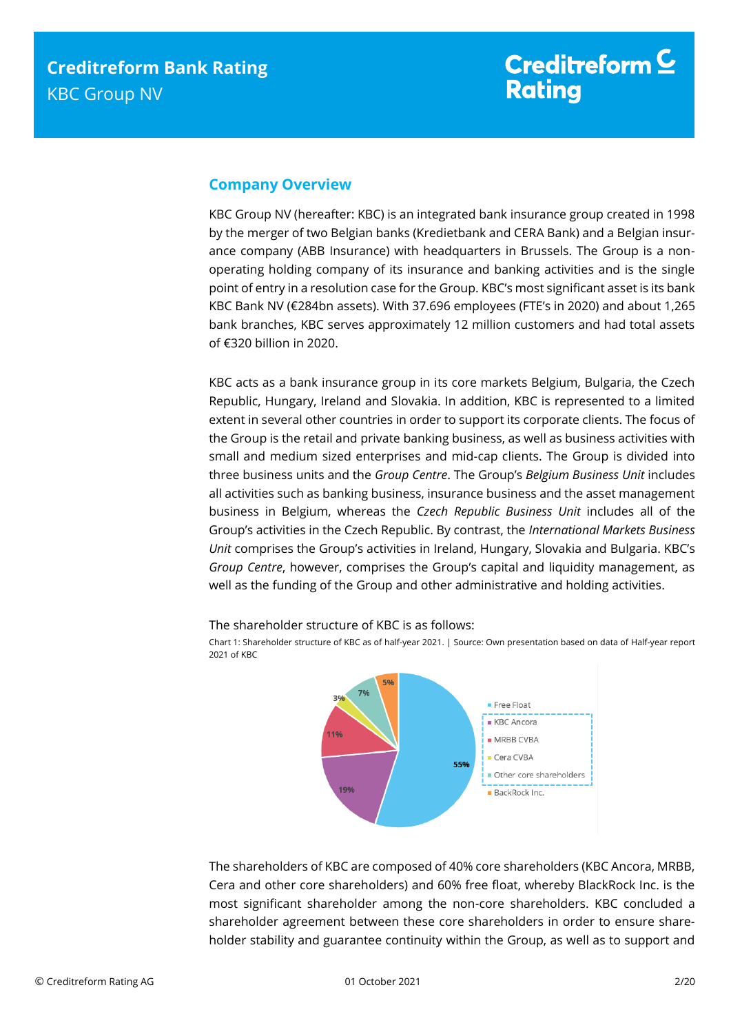# <span id="page-1-0"></span>**Company Overview**

KBC Group NV (hereafter: KBC) is an integrated bank insurance group created in 1998 by the merger of two Belgian banks (Kredietbank and CERA Bank) and a Belgian insurance company (ABB Insurance) with headquarters in Brussels. The Group is a nonoperating holding company of its insurance and banking activities and is the single point of entry in a resolution case for the Group. KBC's most significant asset is its bank KBC Bank NV (€284bn assets). With 37.696 employees (FTE's in 2020) and about 1,265 bank branches, KBC serves approximately 12 million customers and had total assets of €320 billion in 2020.

KBC acts as a bank insurance group in its core markets Belgium, Bulgaria, the Czech Republic, Hungary, Ireland and Slovakia. In addition, KBC is represented to a limited extent in several other countries in order to support its corporate clients. The focus of the Group is the retail and private banking business, as well as business activities with small and medium sized enterprises and mid-cap clients. The Group is divided into three business units and the *Group Centre*. The Group's *Belgium Business Unit* includes all activities such as banking business, insurance business and the asset management business in Belgium, whereas the *Czech Republic Business Unit* includes all of the Group's activities in the Czech Republic. By contrast, the *International Markets Business Unit* comprises the Group's activities in Ireland, Hungary, Slovakia and Bulgaria. KBC's *Group Centre*, however, comprises the Group's capital and liquidity management, as well as the funding of the Group and other administrative and holding activities.



Chart 1: Shareholder structure of KBC as of half-year 2021. | Source: Own presentation based on data of Half-year report 2021 of KBC



The shareholders of KBC are composed of 40% core shareholders (KBC Ancora, MRBB, Cera and other core shareholders) and 60% free float, whereby BlackRock Inc. is the most significant shareholder among the non-core shareholders. KBC concluded a shareholder agreement between these core shareholders in order to ensure shareholder stability and guarantee continuity within the Group, as well as to support and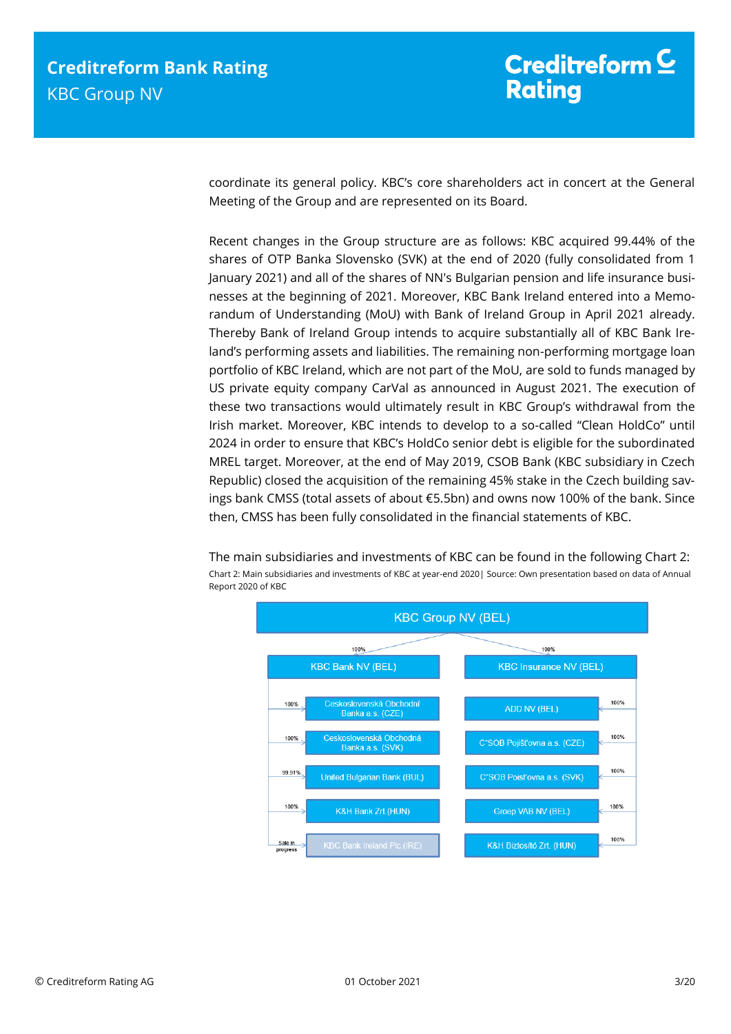coordinate its general policy. KBC's core shareholders act in concert at the General Meeting of the Group and are represented on its Board.

Recent changes in the Group structure are as follows: KBC acquired 99.44% of the shares of OTP Banka Slovensko (SVK) at the end of 2020 (fully consolidated from 1 January 2021) and all of the shares of NN's Bulgarian pension and life insurance businesses at the beginning of 2021. Moreover, KBC Bank Ireland entered into a Memorandum of Understanding (MoU) with Bank of Ireland Group in April 2021 already. Thereby Bank of Ireland Group intends to acquire substantially all of KBC Bank Ireland's performing assets and liabilities. The remaining non-performing mortgage loan portfolio of KBC Ireland, which are not part of the MoU, are sold to funds managed by US private equity company CarVal as announced in August 2021. The execution of these two transactions would ultimately result in KBC Group's withdrawal from the Irish market. Moreover, KBC intends to develop to a so-called "Clean HoldCo" until 2024 in order to ensure that KBC's HoldCo senior debt is eligible for the subordinated MREL target. Moreover, at the end of May 2019, CSOB Bank (KBC subsidiary in Czech Republic) closed the acquisition of the remaining 45% stake in the Czech building savings bank CMSS (total assets of about €5.5bn) and owns now 100% of the bank. Since then, CMSS has been fully consolidated in the financial statements of KBC.

The main subsidiaries and investments of KBC can be found in the following Chart 2: Chart 2: Main subsidiaries and investments of KBC at year-end 2020| Source: Own presentation based on data of Annual Report 2020 of KBC

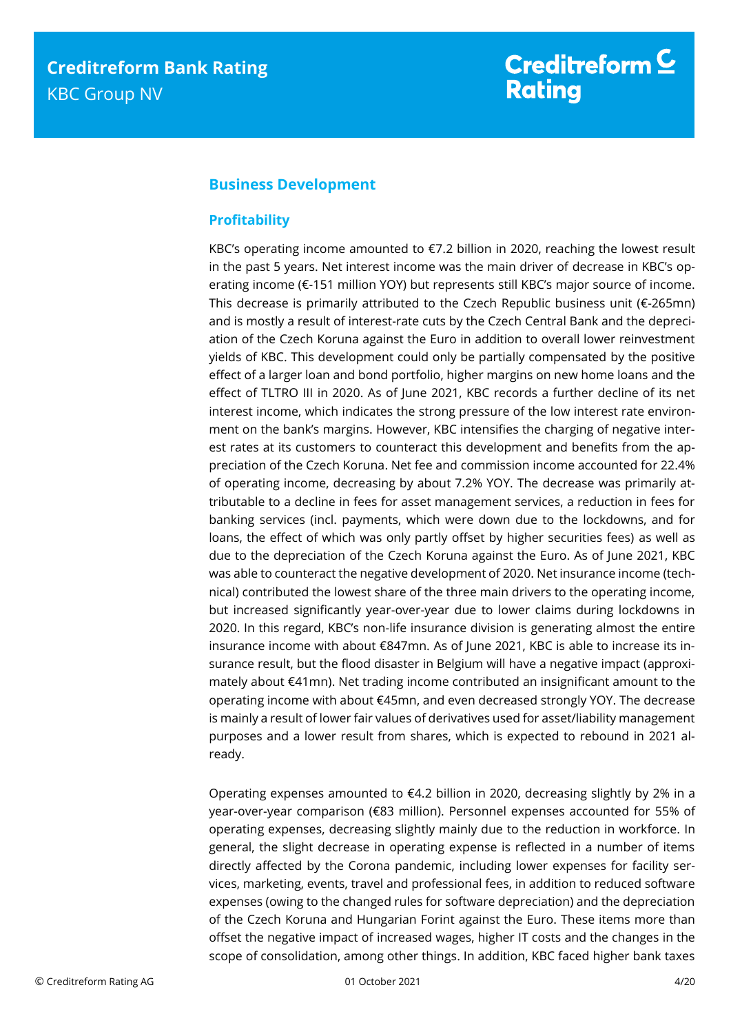# <span id="page-3-0"></span>**Business Development**

## <span id="page-3-1"></span>**Profitability**

KBC's operating income amounted to €7.2 billion in 2020, reaching the lowest result in the past 5 years. Net interest income was the main driver of decrease in KBC's operating income (€-151 million YOY) but represents still KBC's major source of income. This decrease is primarily attributed to the Czech Republic business unit ( $\epsilon$ -265mn) and is mostly a result of interest-rate cuts by the Czech Central Bank and the depreciation of the Czech Koruna against the Euro in addition to overall lower reinvestment yields of KBC. This development could only be partially compensated by the positive effect of a larger loan and bond portfolio, higher margins on new home loans and the effect of TLTRO III in 2020. As of June 2021, KBC records a further decline of its net interest income, which indicates the strong pressure of the low interest rate environment on the bank's margins. However, KBC intensifies the charging of negative interest rates at its customers to counteract this development and benefits from the appreciation of the Czech Koruna. Net fee and commission income accounted for 22.4% of operating income, decreasing by about 7.2% YOY. The decrease was primarily attributable to a decline in fees for asset management services, a reduction in fees for banking services (incl. payments, which were down due to the lockdowns, and for loans, the effect of which was only partly offset by higher securities fees) as well as due to the depreciation of the Czech Koruna against the Euro. As of June 2021, KBC was able to counteract the negative development of 2020. Net insurance income (technical) contributed the lowest share of the three main drivers to the operating income, but increased significantly year-over-year due to lower claims during lockdowns in 2020. In this regard, KBC's non-life insurance division is generating almost the entire insurance income with about €847mn. As of June 2021, KBC is able to increase its insurance result, but the flood disaster in Belgium will have a negative impact (approximately about €41mn). Net trading income contributed an insignificant amount to the operating income with about €45mn, and even decreased strongly YOY. The decrease is mainly a result of lower fair values of derivatives used for asset/liability management purposes and a lower result from shares, which is expected to rebound in 2021 already.

Operating expenses amounted to €4.2 billion in 2020, decreasing slightly by 2% in a year-over-year comparison (€83 million). Personnel expenses accounted for 55% of operating expenses, decreasing slightly mainly due to the reduction in workforce. In general, the slight decrease in operating expense is reflected in a number of items directly affected by the Corona pandemic, including lower expenses for facility services, marketing, events, travel and professional fees, in addition to reduced software expenses (owing to the changed rules for software depreciation) and the depreciation of the Czech Koruna and Hungarian Forint against the Euro. These items more than offset the negative impact of increased wages, higher IT costs and the changes in the scope of consolidation, among other things. In addition, KBC faced higher bank taxes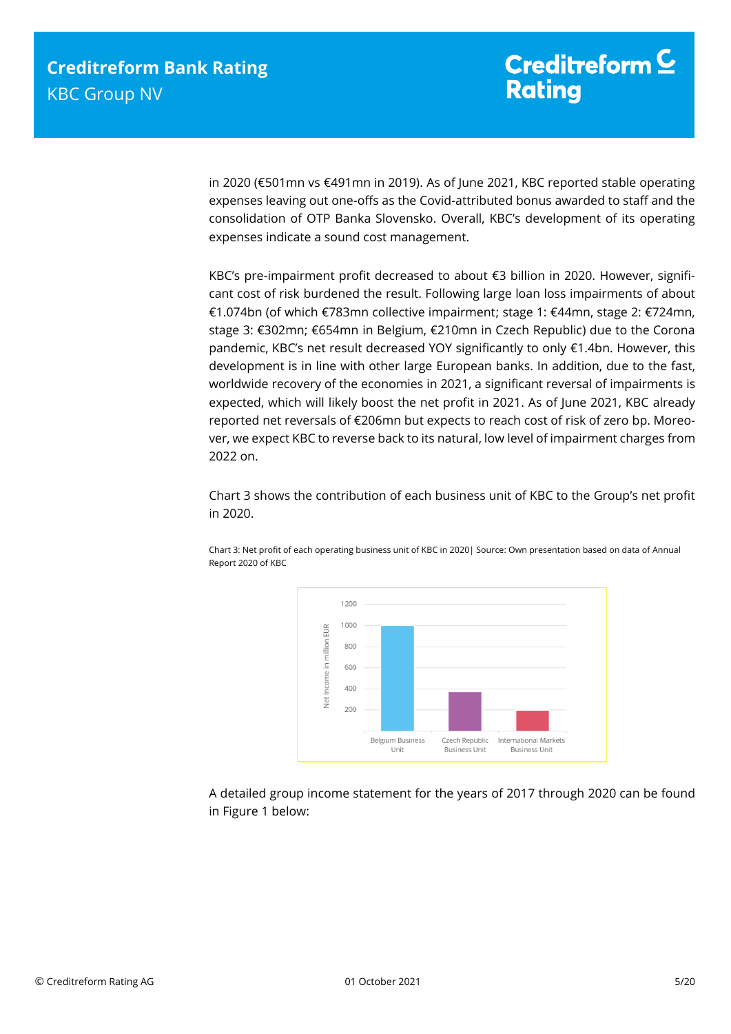in 2020 (€501mn vs €491mn in 2019). As of June 2021, KBC reported stable operating expenses leaving out one-offs as the Covid-attributed bonus awarded to staff and the consolidation of OTP Banka Slovensko. Overall, KBC's development of its operating expenses indicate a sound cost management.

KBC's pre-impairment profit decreased to about €3 billion in 2020. However, significant cost of risk burdened the result. Following large loan loss impairments of about €1.074bn (of which €783mn collective impairment; stage 1: €44mn, stage 2: €724mn, stage 3: €302mn; €654mn in Belgium, €210mn in Czech Republic) due to the Corona pandemic, KBC's net result decreased YOY significantly to only €1.4bn. However, this development is in line with other large European banks. In addition, due to the fast, worldwide recovery of the economies in 2021, a significant reversal of impairments is expected, which will likely boost the net profit in 2021. As of June 2021, KBC already reported net reversals of €206mn but expects to reach cost of risk of zero bp. Moreover, we expect KBC to reverse back to its natural, low level of impairment charges from 2022 on.

Chart 3 shows the contribution of each business unit of KBC to the Group's net profit in 2020.



Chart 3: Net profit of each operating business unit of KBC in 2020| Source: Own presentation based on data of Annual Report 2020 of KBC

A detailed group income statement for the years of 2017 through 2020 can be found in Figure 1 below: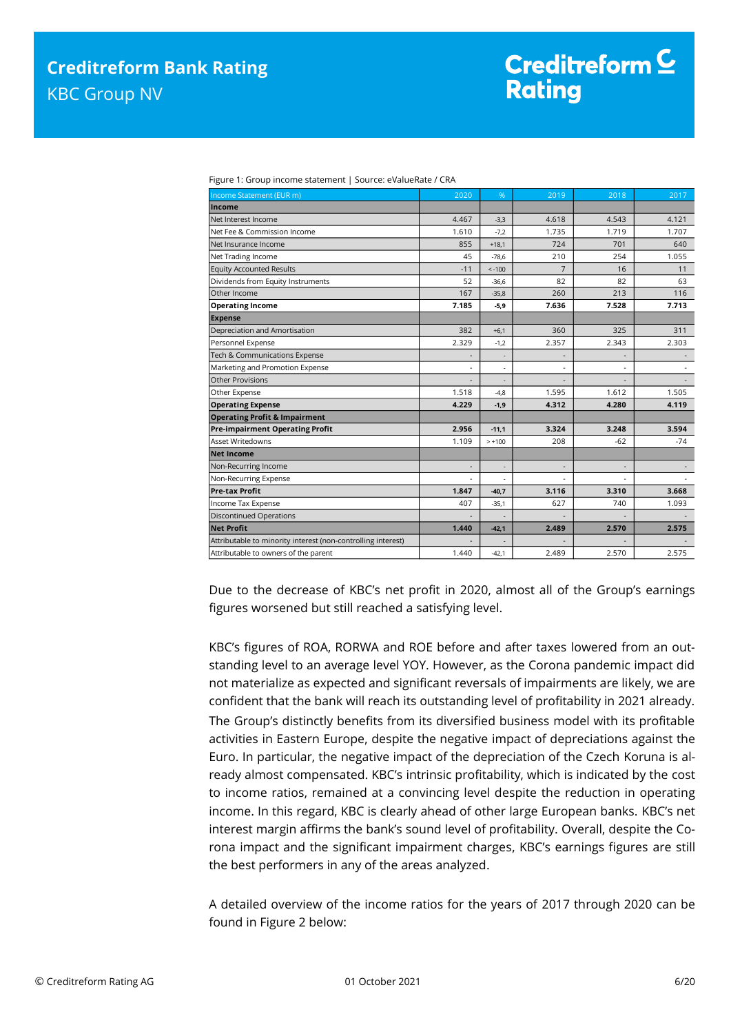| Figure 1. Group income statement   Jource. Evalue hate / CKA |                          |                          |                          |       |       |
|--------------------------------------------------------------|--------------------------|--------------------------|--------------------------|-------|-------|
| Income Statement (EUR m)                                     | 2020                     | %                        | 2019                     | 2018  | 2017  |
| Income                                                       |                          |                          |                          |       |       |
| Net Interest Income                                          | 4.467                    | $-3,3$                   | 4.618                    | 4.543 | 4.121 |
| Net Fee & Commission Income                                  | 1.610                    | $-7.2$                   | 1.735                    | 1.719 | 1.707 |
| Net Insurance Income                                         | 855                      | $+18,1$                  | 724                      | 701   | 640   |
| Net Trading Income                                           | 45                       | $-78,6$                  | 210                      | 254   | 1.055 |
| <b>Equity Accounted Results</b>                              | $-11$                    | $< -100$                 | $\overline{7}$           | 16    | 11    |
| Dividends from Equity Instruments                            | 52                       | $-36.6$                  | 82                       | 82    | 63    |
| Other Income                                                 | 167                      | $-35,8$                  | 260                      | 213   | 116   |
| <b>Operating Income</b>                                      | 7.185                    | $-5,9$                   | 7.636                    | 7.528 | 7.713 |
| <b>Expense</b>                                               |                          |                          |                          |       |       |
| Depreciation and Amortisation                                | 382                      | $+6,1$                   | 360                      | 325   | 311   |
| Personnel Expense                                            | 2.329                    | $-1,2$                   | 2.357                    | 2.343 | 2.303 |
| Tech & Communications Expense                                | $\overline{\phantom{a}}$ | $\overline{\phantom{a}}$ | $\overline{\phantom{a}}$ |       |       |
| Marketing and Promotion Expense                              | ä,                       |                          |                          |       |       |
| Other Provisions                                             |                          |                          |                          |       |       |
| Other Expense                                                | 1.518                    | $-4,8$                   | 1.595                    | 1.612 | 1.505 |
| <b>Operating Expense</b>                                     | 4.229                    | $-1,9$                   | 4.312                    | 4.280 | 4.119 |
| <b>Operating Profit &amp; Impairment</b>                     |                          |                          |                          |       |       |
| <b>Pre-impairment Operating Profit</b>                       | 2.956                    | $-11.1$                  | 3.324                    | 3.248 | 3.594 |
| <b>Asset Writedowns</b>                                      | 1.109                    | $> +100$                 | 208                      | $-62$ | $-74$ |
| <b>Net Income</b>                                            |                          |                          |                          |       |       |
| Non-Recurring Income                                         | ٠                        | $\overline{\phantom{a}}$ | ٠                        |       |       |
| Non-Recurring Expense                                        | $\blacksquare$           |                          | $\tilde{\phantom{a}}$    |       |       |
| <b>Pre-tax Profit</b>                                        | 1.847                    | $-40.7$                  | 3.116                    | 3.310 | 3.668 |
| Income Tax Expense                                           | 407                      | $-35,1$                  | 627                      | 740   | 1.093 |
| <b>Discontinued Operations</b>                               |                          |                          |                          |       |       |
| <b>Net Profit</b>                                            | 1.440                    | $-42,1$                  | 2.489                    | 2.570 | 2.575 |
| Attributable to minority interest (non-controlling interest) |                          |                          |                          |       |       |
| Attributable to owners of the parent                         | 1.440                    | $-42,1$                  | 2.489                    | 2.570 | 2.575 |
|                                                              |                          |                          |                          |       |       |

Figure 1: Group income statement | Source: eValueRate / CRA

Due to the decrease of KBC's net profit in 2020, almost all of the Group's earnings figures worsened but still reached a satisfying level.

KBC's figures of ROA, RORWA and ROE before and after taxes lowered from an outstanding level to an average level YOY. However, as the Corona pandemic impact did not materialize as expected and significant reversals of impairments are likely, we are confident that the bank will reach its outstanding level of profitability in 2021 already. The Group's distinctly benefits from its diversified business model with its profitable activities in Eastern Europe, despite the negative impact of depreciations against the Euro. In particular, the negative impact of the depreciation of the Czech Koruna is already almost compensated. KBC's intrinsic profitability, which is indicated by the cost to income ratios, remained at a convincing level despite the reduction in operating income. In this regard, KBC is clearly ahead of other large European banks. KBC's net interest margin affirms the bank's sound level of profitability. Overall, despite the Corona impact and the significant impairment charges, KBC's earnings figures are still the best performers in any of the areas analyzed.

A detailed overview of the income ratios for the years of 2017 through 2020 can be found in Figure 2 below: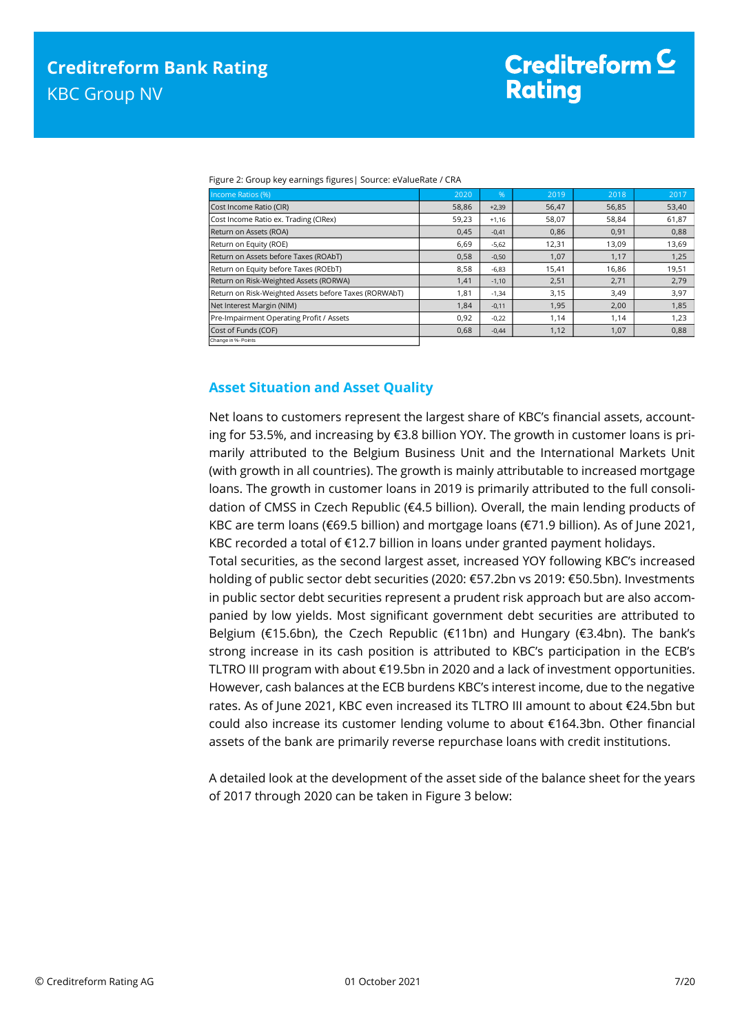|  | Figure 2: Group key earnings figures   Source: eValueRate / CRA |  |
|--|-----------------------------------------------------------------|--|
|  |                                                                 |  |
|  |                                                                 |  |

| Income Ratios (%)                                     | 2020  | $\frac{9}{6}$ | 2019  | 2018  | 2017  |
|-------------------------------------------------------|-------|---------------|-------|-------|-------|
| Cost Income Ratio (CIR)                               | 58,86 | $+2,39$       | 56,47 | 56,85 | 53,40 |
| Cost Income Ratio ex. Trading (CIRex)                 | 59,23 | $+1.16$       | 58,07 | 58,84 | 61,87 |
| Return on Assets (ROA)                                | 0.45  | $-0.41$       | 0.86  | 0.91  | 0,88  |
| Return on Equity (ROE)                                | 6,69  | $-5,62$       | 12,31 | 13,09 | 13,69 |
| Return on Assets before Taxes (ROAbT)                 | 0,58  | $-0,50$       | 1,07  | 1,17  | 1,25  |
| Return on Equity before Taxes (ROEbT)                 | 8,58  | $-6,83$       | 15,41 | 16,86 | 19,51 |
| Return on Risk-Weighted Assets (RORWA)                | 1,41  | $-1,10$       | 2,51  | 2,71  | 2,79  |
| Return on Risk-Weighted Assets before Taxes (RORWAbT) | 1,81  | $-1,34$       | 3,15  | 3,49  | 3,97  |
| Net Interest Margin (NIM)                             | 1,84  | $-0,11$       | 1,95  | 2,00  | 1,85  |
| Pre-Impairment Operating Profit / Assets              | 0,92  | $-0,22$       | 1,14  | 1,14  | 1,23  |
| Cost of Funds (COF)                                   | 0,68  | $-0,44$       | 1,12  | 1,07  | 0,88  |
| Change in %- Points                                   |       |               |       |       |       |

## <span id="page-6-0"></span>**Asset Situation and Asset Quality**

Net loans to customers represent the largest share of KBC's financial assets, accounting for 53.5%, and increasing by €3.8 billion YOY. The growth in customer loans is primarily attributed to the Belgium Business Unit and the International Markets Unit (with growth in all countries). The growth is mainly attributable to increased mortgage loans. The growth in customer loans in 2019 is primarily attributed to the full consolidation of CMSS in Czech Republic (€4.5 billion). Overall, the main lending products of KBC are term loans (€69.5 billion) and mortgage loans (€71.9 billion). As of June 2021, KBC recorded a total of €12.7 billion in loans under granted payment holidays.

Total securities, as the second largest asset, increased YOY following KBC's increased holding of public sector debt securities (2020: €57.2bn vs 2019: €50.5bn). Investments in public sector debt securities represent a prudent risk approach but are also accompanied by low yields. Most significant government debt securities are attributed to Belgium (€15.6bn), the Czech Republic (€11bn) and Hungary (€3.4bn). The bank's strong increase in its cash position is attributed to KBC's participation in the ECB's TLTRO III program with about €19.5bn in 2020 and a lack of investment opportunities. However, cash balances at the ECB burdens KBC's interest income, due to the negative rates. As of June 2021, KBC even increased its TLTRO III amount to about €24.5bn but could also increase its customer lending volume to about €164.3bn. Other financial assets of the bank are primarily reverse repurchase loans with credit institutions.

A detailed look at the development of the asset side of the balance sheet for the years of 2017 through 2020 can be taken in Figure 3 below: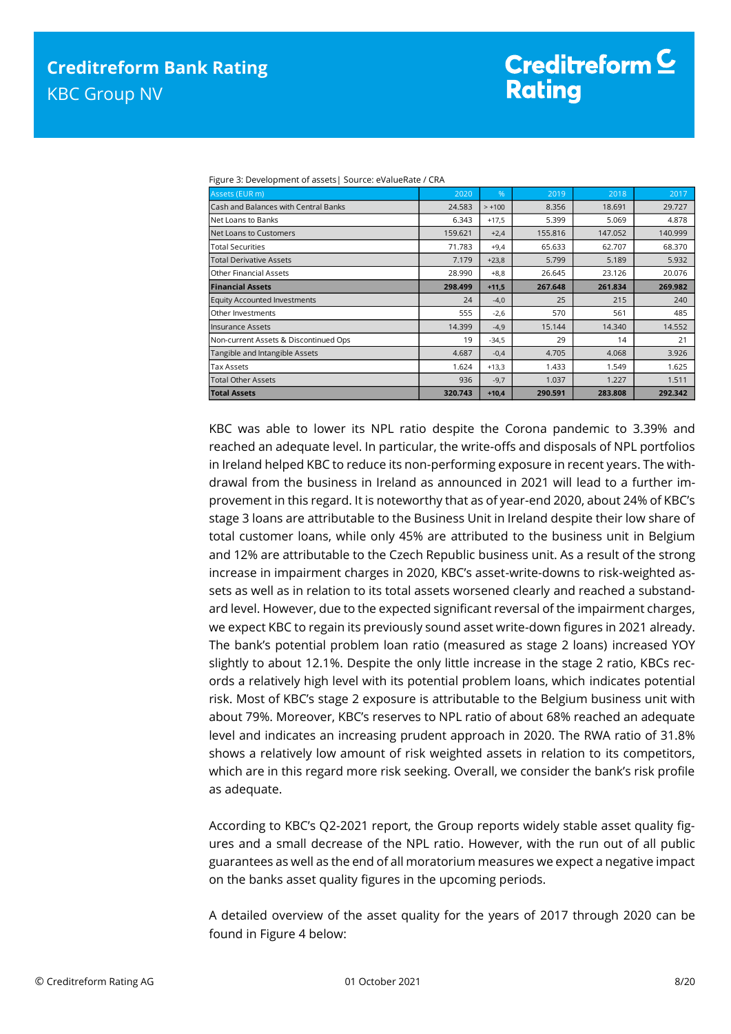| Assets (EUR m)                        | 2020    | %        | 2019    | 2018    | 2017    |
|---------------------------------------|---------|----------|---------|---------|---------|
| Cash and Balances with Central Banks  | 24.583  | $> +100$ | 8.356   | 18.691  | 29.727  |
| Net Loans to Banks                    | 6.343   | $+17,5$  | 5.399   | 5.069   | 4.878   |
| Net Loans to Customers                | 159.621 | $+2,4$   | 155.816 | 147.052 | 140.999 |
| <b>Total Securities</b>               | 71.783  | $+9,4$   | 65.633  | 62.707  | 68.370  |
| <b>Total Derivative Assets</b>        | 7.179   | $+23,8$  | 5.799   | 5.189   | 5.932   |
| <b>Other Financial Assets</b>         | 28.990  | $+8.8$   | 26.645  | 23.126  | 20.076  |
| <b>Financial Assets</b>               | 298.499 | $+11,5$  | 267.648 | 261.834 | 269.982 |
| <b>Equity Accounted Investments</b>   | 24      | $-4,0$   | 25      | 215     | 240     |
| Other Investments                     | 555     | $-2,6$   | 570     | 561     | 485     |
| <b>Insurance Assets</b>               | 14.399  | $-4,9$   | 15.144  | 14.340  | 14.552  |
| Non-current Assets & Discontinued Ops | 19      | $-34,5$  | 29      | 14      | 21      |
| Tangible and Intangible Assets        | 4.687   | $-0,4$   | 4.705   | 4.068   | 3.926   |
| <b>Tax Assets</b>                     | 1.624   | $+13,3$  | 1.433   | 1.549   | 1.625   |
| <b>Total Other Assets</b>             | 936     | $-9,7$   | 1.037   | 1.227   | 1.511   |
| <b>Total Assets</b>                   | 320.743 | $+10,4$  | 290.591 | 283.808 | 292.342 |

Figure 3: Development of assets| Source: eValueRate / CRA

KBC was able to lower its NPL ratio despite the Corona pandemic to 3.39% and reached an adequate level. In particular, the write-offs and disposals of NPL portfolios in Ireland helped KBC to reduce its non-performing exposure in recent years. The withdrawal from the business in Ireland as announced in 2021 will lead to a further improvement in this regard. It is noteworthy that as of year-end 2020, about 24% of KBC's stage 3 loans are attributable to the Business Unit in Ireland despite their low share of total customer loans, while only 45% are attributed to the business unit in Belgium and 12% are attributable to the Czech Republic business unit. As a result of the strong increase in impairment charges in 2020, KBC's asset-write-downs to risk-weighted assets as well as in relation to its total assets worsened clearly and reached a substandard level. However, due to the expected significant reversal of the impairment charges, we expect KBC to regain its previously sound asset write-down figures in 2021 already. The bank's potential problem loan ratio (measured as stage 2 loans) increased YOY slightly to about 12.1%. Despite the only little increase in the stage 2 ratio, KBCs records a relatively high level with its potential problem loans, which indicates potential risk. Most of KBC's stage 2 exposure is attributable to the Belgium business unit with about 79%. Moreover, KBC's reserves to NPL ratio of about 68% reached an adequate level and indicates an increasing prudent approach in 2020. The RWA ratio of 31.8% shows a relatively low amount of risk weighted assets in relation to its competitors, which are in this regard more risk seeking. Overall, we consider the bank's risk profile as adequate.

According to KBC's Q2-2021 report, the Group reports widely stable asset quality figures and a small decrease of the NPL ratio. However, with the run out of all public guarantees as well as the end of all moratorium measures we expect a negative impact on the banks asset quality figures in the upcoming periods.

A detailed overview of the asset quality for the years of 2017 through 2020 can be found in Figure 4 below: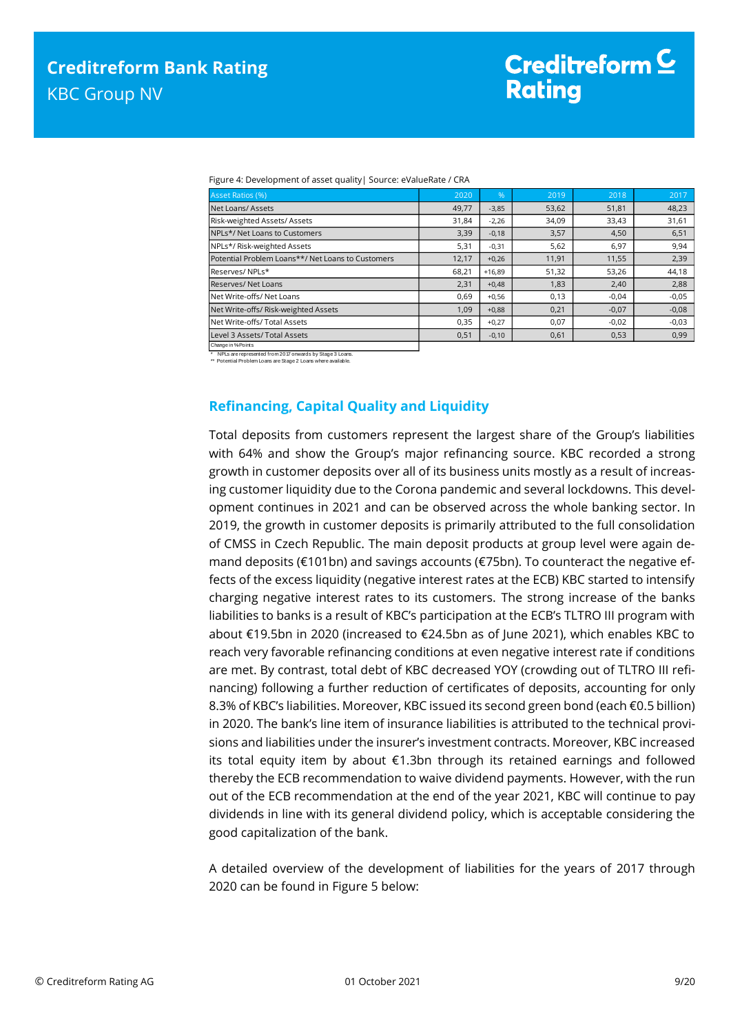|  | Figure 4: Development of asset quality   Source: eValueRate / CRA |  |
|--|-------------------------------------------------------------------|--|
|  |                                                                   |  |

| Asset Ratios (%)                                  | 2020  | $\%$     | 2019  | 2018    | 2017    |
|---------------------------------------------------|-------|----------|-------|---------|---------|
| Net Loans/Assets                                  | 49,77 | $-3,85$  | 53,62 | 51,81   | 48,23   |
| Risk-weighted Assets/ Assets                      | 31,84 | $-2,26$  | 34,09 | 33,43   | 31,61   |
| NPLs*/ Net Loans to Customers                     | 3,39  | $-0,18$  | 3,57  | 4,50    | 6,51    |
| NPLs*/ Risk-weighted Assets                       | 5,31  | $-0,31$  | 5,62  | 6,97    | 9,94    |
| Potential Problem Loans**/ Net Loans to Customers | 12,17 | $+0,26$  | 11,91 | 11,55   | 2,39    |
| Reserves/NPLs*                                    | 68.21 | $+16.89$ | 51,32 | 53,26   | 44,18   |
| Reserves/Net Loans                                | 2,31  | $+0,48$  | 1,83  | 2,40    | 2,88    |
| Net Write-offs/ Net Loans                         | 0,69  | $+0,56$  | 0,13  | $-0.04$ | $-0.05$ |
| Net Write-offs/ Risk-weighted Assets              | 1.09  | $+0,88$  | 0,21  | $-0.07$ | $-0,08$ |
| Net Write-offs/ Total Assets                      | 0,35  | $+0,27$  | 0,07  | $-0.02$ | $-0,03$ |
| Level 3 Assets/ Total Assets                      | 0,51  | $-0,10$  | 0,61  | 0,53    | 0,99    |

\* NPLs are represented from 2017 onwards by Stage 3 Loans. \*\* Potential Problem Loans are Stage 2 Loans where available.

Change in %-Points

# <span id="page-8-0"></span>**Refinancing, Capital Quality and Liquidity**

Total deposits from customers represent the largest share of the Group's liabilities with 64% and show the Group's major refinancing source. KBC recorded a strong growth in customer deposits over all of its business units mostly as a result of increasing customer liquidity due to the Corona pandemic and several lockdowns. This development continues in 2021 and can be observed across the whole banking sector. In 2019, the growth in customer deposits is primarily attributed to the full consolidation of CMSS in Czech Republic. The main deposit products at group level were again demand deposits (€101bn) and savings accounts (€75bn). To counteract the negative effects of the excess liquidity (negative interest rates at the ECB) KBC started to intensify charging negative interest rates to its customers. The strong increase of the banks liabilities to banks is a result of KBC's participation at the ECB's TLTRO III program with about €19.5bn in 2020 (increased to €24.5bn as of June 2021), which enables KBC to reach very favorable refinancing conditions at even negative interest rate if conditions are met. By contrast, total debt of KBC decreased YOY (crowding out of TLTRO III refinancing) following a further reduction of certificates of deposits, accounting for only 8.3% of KBC's liabilities. Moreover, KBC issued its second green bond (each €0.5 billion) in 2020. The bank's line item of insurance liabilities is attributed to the technical provisions and liabilities under the insurer's investment contracts. Moreover, KBC increased its total equity item by about €1.3bn through its retained earnings and followed thereby the ECB recommendation to waive dividend payments. However, with the run out of the ECB recommendation at the end of the year 2021, KBC will continue to pay dividends in line with its general dividend policy, which is acceptable considering the good capitalization of the bank.

A detailed overview of the development of liabilities for the years of 2017 through 2020 can be found in Figure 5 below: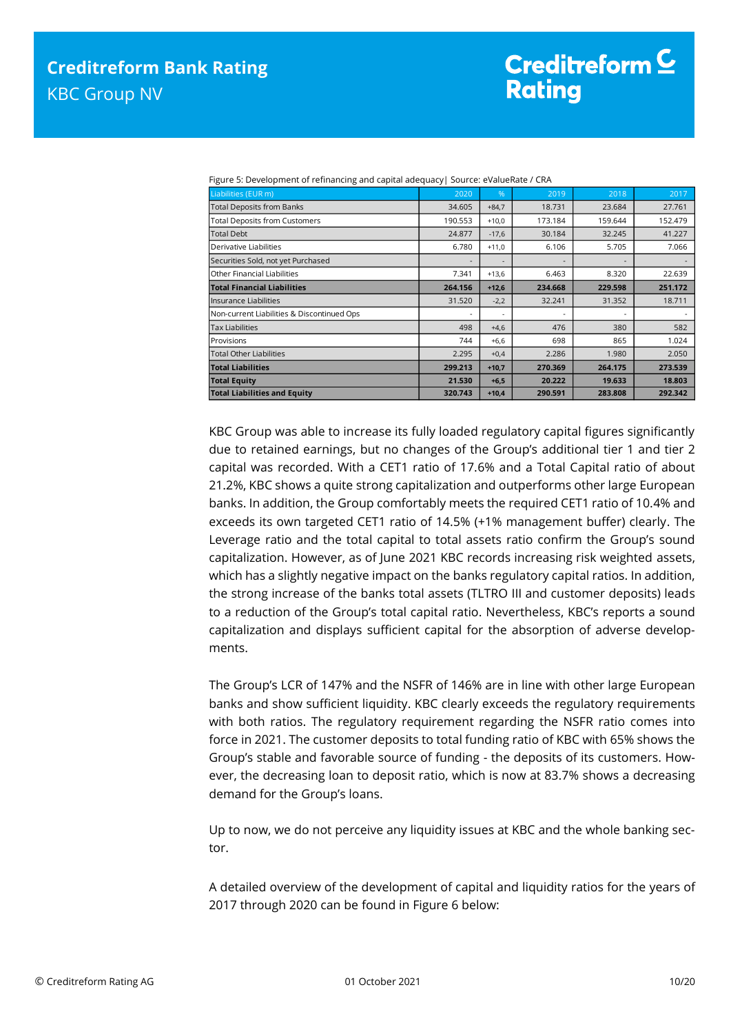| Liabilities (EUR m)                        | 2020    | %       | 2019    | 2018    | 2017    |
|--------------------------------------------|---------|---------|---------|---------|---------|
| <b>Total Deposits from Banks</b>           | 34.605  | $+84.7$ | 18.731  | 23.684  | 27.761  |
| <b>Total Deposits from Customers</b>       | 190.553 | $+10,0$ | 173.184 | 159.644 | 152.479 |
| <b>Total Debt</b>                          | 24.877  | $-17,6$ | 30.184  | 32.245  | 41.227  |
| Derivative Liabilities                     | 6.780   | $+11,0$ | 6.106   | 5.705   | 7.066   |
| Securities Sold, not yet Purchased         |         |         |         |         |         |
| Other Financial Liabilities                | 7.341   | $+13,6$ | 6.463   | 8.320   | 22.639  |
| <b>Total Financial Liabilities</b>         | 264.156 | $+12,6$ | 234.668 | 229.598 | 251.172 |
| llnsurance Liabilities                     | 31.520  | $-2,2$  | 32.241  | 31.352  | 18.711  |
| Non-current Liabilities & Discontinued Ops | ٠       |         |         |         |         |
| <b>Tax Liabilities</b>                     | 498     | $+4,6$  | 476     | 380     | 582     |
| Provisions                                 | 744     | $+6,6$  | 698     | 865     | 1.024   |
| <b>Total Other Liabilities</b>             | 2.295   | $+0,4$  | 2.286   | 1.980   | 2.050   |
| <b>Total Liabilities</b>                   | 299.213 | $+10,7$ | 270.369 | 264.175 | 273.539 |
| <b>Total Equity</b>                        | 21.530  | $+6,5$  | 20.222  | 19.633  | 18.803  |
| <b>Total Liabilities and Equity</b>        | 320.743 | $+10,4$ | 290.591 | 283.808 | 292.342 |

Figure 5: Development of refinancing and capital adequacy| Source: eValueRate / CRA

KBC Group was able to increase its fully loaded regulatory capital figures significantly due to retained earnings, but no changes of the Group's additional tier 1 and tier 2 capital was recorded. With a CET1 ratio of 17.6% and a Total Capital ratio of about 21.2%, KBC shows a quite strong capitalization and outperforms other large European banks. In addition, the Group comfortably meets the required CET1 ratio of 10.4% and exceeds its own targeted CET1 ratio of 14.5% (+1% management buffer) clearly. The Leverage ratio and the total capital to total assets ratio confirm the Group's sound capitalization. However, as of June 2021 KBC records increasing risk weighted assets, which has a slightly negative impact on the banks regulatory capital ratios. In addition, the strong increase of the banks total assets (TLTRO III and customer deposits) leads to a reduction of the Group's total capital ratio. Nevertheless, KBC's reports a sound capitalization and displays sufficient capital for the absorption of adverse developments.

The Group's LCR of 147% and the NSFR of 146% are in line with other large European banks and show sufficient liquidity. KBC clearly exceeds the regulatory requirements with both ratios. The regulatory requirement regarding the NSFR ratio comes into force in 2021. The customer deposits to total funding ratio of KBC with 65% shows the Group's stable and favorable source of funding - the deposits of its customers. However, the decreasing loan to deposit ratio, which is now at 83.7% shows a decreasing demand for the Group's loans.

Up to now, we do not perceive any liquidity issues at KBC and the whole banking sector.

A detailed overview of the development of capital and liquidity ratios for the years of 2017 through 2020 can be found in Figure 6 below: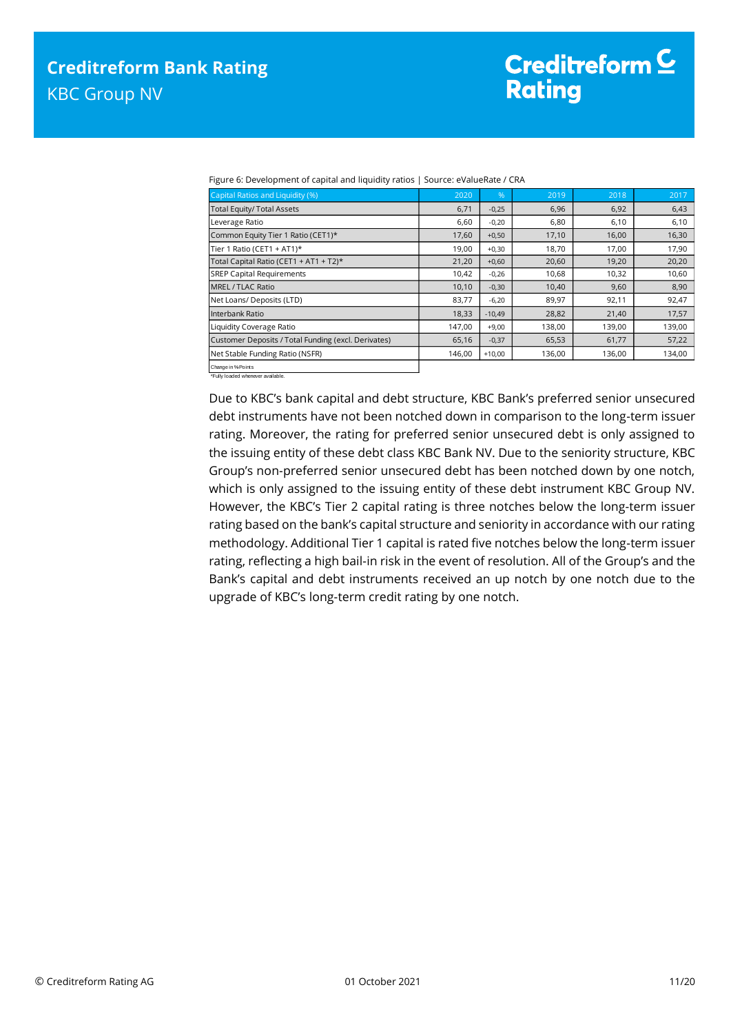Figure 6: Development of capital and liquidity ratios | Source: eValueRate / CRA

| Capital Ratios and Liquidity (%)                    | 2020   | %        | 2019   | 2018   | 2017   |
|-----------------------------------------------------|--------|----------|--------|--------|--------|
| <b>Total Equity/ Total Assets</b>                   | 6,71   | $-0,25$  | 6,96   | 6,92   | 6,43   |
| Leverage Ratio                                      | 6,60   | $-0,20$  | 6,80   | 6,10   | 6,10   |
| Common Equity Tier 1 Ratio (CET1)*                  | 17,60  | $+0,50$  | 17,10  | 16,00  | 16,30  |
| Tier 1 Ratio (CET1 + AT1)*                          | 19,00  | $+0,30$  | 18,70  | 17,00  | 17,90  |
| Total Capital Ratio (CET1 + AT1 + T2)*              | 21,20  | $+0,60$  | 20,60  | 19,20  | 20,20  |
| <b>SREP Capital Requirements</b>                    | 10,42  | $-0,26$  | 10,68  | 10,32  | 10,60  |
| MREL / TLAC Ratio                                   | 10,10  | $-0,30$  | 10,40  | 9,60   | 8,90   |
| Net Loans/ Deposits (LTD)                           | 83,77  | $-6,20$  | 89,97  | 92,11  | 92,47  |
| Interbank Ratio                                     | 18,33  | $-10,49$ | 28,82  | 21,40  | 17,57  |
| Liquidity Coverage Ratio                            | 147,00 | $+9,00$  | 138,00 | 139,00 | 139,00 |
| Customer Deposits / Total Funding (excl. Derivates) | 65,16  | $-0,37$  | 65,53  | 61,77  | 57,22  |
| Net Stable Funding Ratio (NSFR)                     | 146,00 | $+10,00$ | 136,00 | 136,00 | 134,00 |
| Change in % Points                                  |        |          |        |        |        |

\*Fully loaded whenever available.

Due to KBC's bank capital and debt structure, KBC Bank's preferred senior unsecured debt instruments have not been notched down in comparison to the long-term issuer rating. Moreover, the rating for preferred senior unsecured debt is only assigned to the issuing entity of these debt class KBC Bank NV. Due to the seniority structure, KBC Group's non-preferred senior unsecured debt has been notched down by one notch, which is only assigned to the issuing entity of these debt instrument KBC Group NV. However, the KBC's Tier 2 capital rating is three notches below the long-term issuer rating based on the bank's capital structure and seniority in accordance with our rating methodology. Additional Tier 1 capital is rated five notches below the long-term issuer rating, reflecting a high bail-in risk in the event of resolution. All of the Group's and the Bank's capital and debt instruments received an up notch by one notch due to the upgrade of KBC's long-term credit rating by one notch.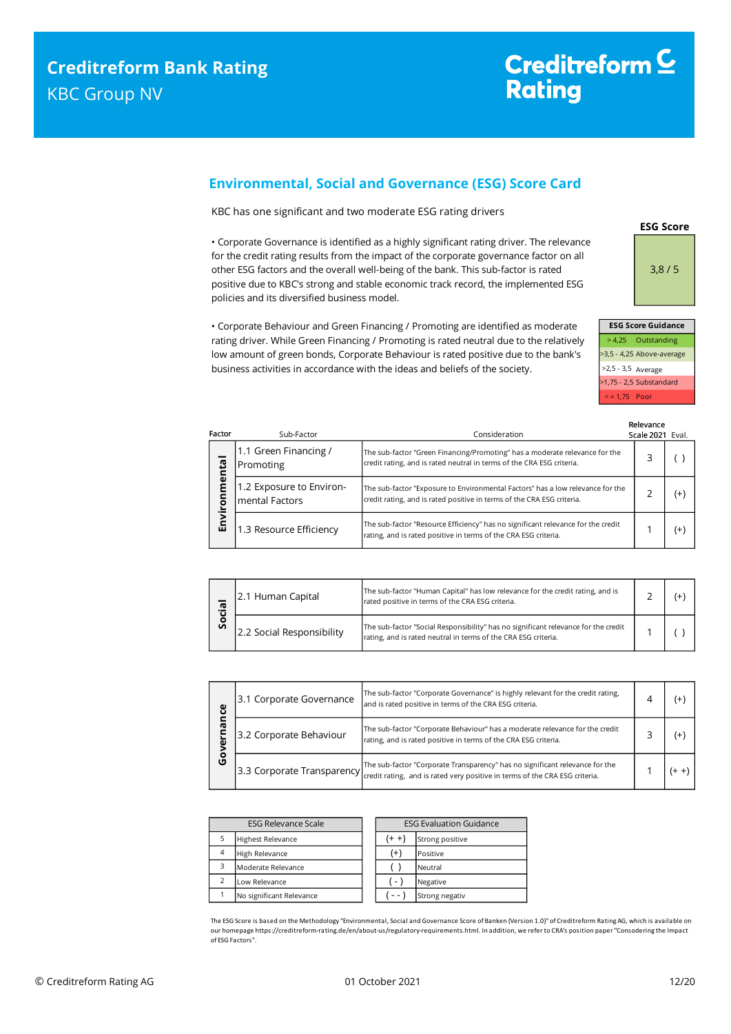# <span id="page-11-0"></span>**Environmental, Social and Governance (ESG) Score Card**

KBC has one significant and two moderate ESG rating drivers

• Corporate Governance is identified as a highly significant rating driver. The relevance for the credit rating results from the impact of the corporate governance factor on all other ESG factors and the overall well-being of the bank. This sub-factor is rated positive due to KBC's strong and stable economic track record, the implemented ESG policies and its diversified business model.

• Corporate Behaviour and Green Financing / Promoting are identified as moderate rating driver. While Green Financing / Promoting is rated neutral due to the relatively low amount of green bonds, Corporate Behaviour is rated positive due to the bank's business activities in accordance with the ideas and beliefs of the society.

> 4,25 Outstanding >3,5 - 4,25 Above-average >2,5 - 3,5 Average >1,75 - 2,5 Substandard < = 1,75 Poor **ESG Score Guidance**

**ESG Score**

3,8 / 5

| Factor     | Sub-Factor                                 | Consideration                                                                                                                                            | Relevance<br>Scale 2021 Eval. |       |
|------------|--------------------------------------------|----------------------------------------------------------------------------------------------------------------------------------------------------------|-------------------------------|-------|
| menta      | 1.1 Green Financing /<br>Promoting         | The sub-factor "Green Financing/Promoting" has a moderate relevance for the<br>credit rating, and is rated neutral in terms of the CRA ESG criteria.     | 3                             |       |
| <b>TON</b> | 1.2 Exposure to Environ-<br>mental Factors | The sub-factor "Exposure to Environmental Factors" has a low relevance for the<br>credit rating, and is rated positive in terms of the CRA ESG criteria. | っ                             | $(+)$ |
| Envi       | 1.3 Resource Efficiency                    | The sub-factor "Resource Efficiency" has no significant relevance for the credit<br>rating, and is rated positive in terms of the CRA ESG criteria.      |                               | $(+)$ |

| ᠊ᢐ | 2.1 Human Capital         | The sub-factor "Human Capital" has low relevance for the credit rating, and is<br>rated positive in terms of the CRA ESG criteria.                   |  |  |
|----|---------------------------|------------------------------------------------------------------------------------------------------------------------------------------------------|--|--|
| တိ | 2.2 Social Responsibility | The sub-factor "Social Responsibility" has no significant relevance for the credit<br>rating, and is rated neutral in terms of the CRA ESG criteria. |  |  |

| ပ္ပ    | The sub-factor "Corporate Governance" is highly relevant for the credit rating,<br>3.1 Corporate Governance<br>and is rated positive in terms of the CRA ESG criteria. |                                                                                                                                                                                    | ⊿ | (+    |
|--------|------------------------------------------------------------------------------------------------------------------------------------------------------------------------|------------------------------------------------------------------------------------------------------------------------------------------------------------------------------------|---|-------|
| ᠭᡦ     | 3.2 Corporate Behaviour                                                                                                                                                | The sub-factor "Corporate Behaviour" has a moderate relevance for the credit<br>rating, and is rated positive in terms of the CRA ESG criteria.                                    |   | (+    |
| o<br>ט |                                                                                                                                                                        | 3.3 Corporate Transparency The sub-factor "Corporate Transparency" has no significant relevance for the 3.3 Corporate Transparency retation and 3.3 Corporate Transparence for the |   | (+ +) |

| <b>ESG Relevance Scale</b> |                          | <b>ESG Evaluation Guidance</b> |                 |
|----------------------------|--------------------------|--------------------------------|-----------------|
| 5                          | <b>Highest Relevance</b> | (+ +                           | Strong positive |
| $\overline{4}$             | High Relevance           | $^{(+)}$                       | Positive        |
| 3                          | Moderate Relevance       |                                | Neutral         |
| $\overline{2}$             | Low Relevance            | ( - )                          | Negative        |
|                            | No significant Relevance |                                | Strong negativ  |

The ESG Score is based on the Methodology "Environmental, Social and Governance Score of Banken (Version 1.0)" of Creditreform Rating AG, which is available on our homepage https://creditreform-rating.de/en/about-us/regulatory-requirements.html. In addition, we refer to CRA's position paper "Consodering the Impact of ESG Factors".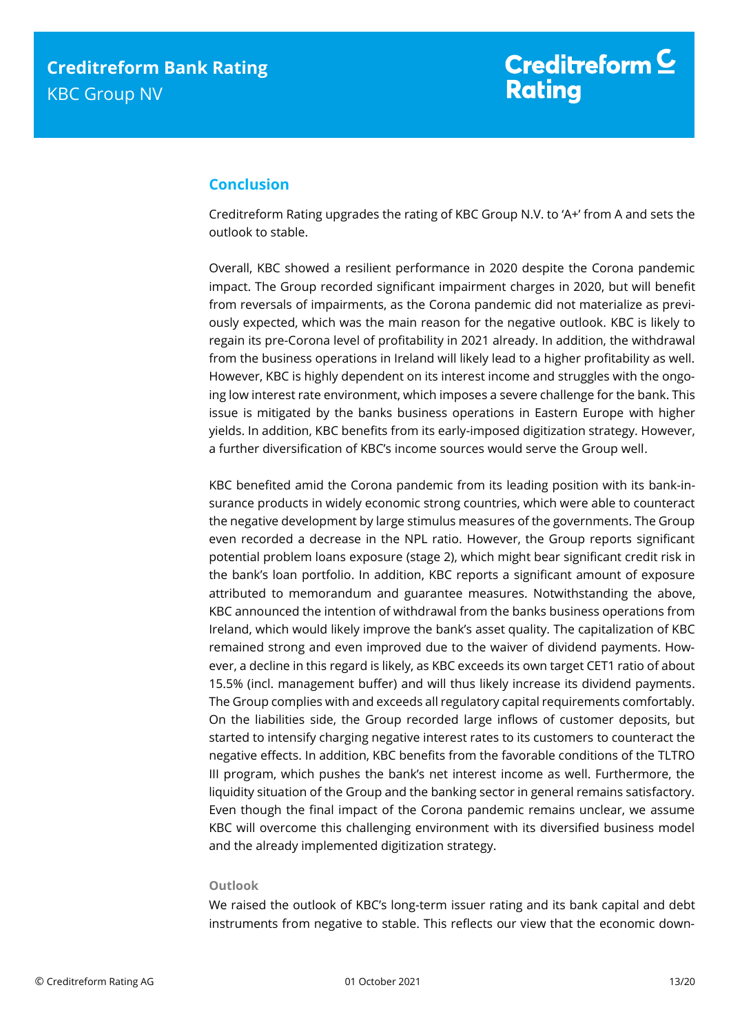# <span id="page-12-0"></span>**Conclusion**

Creditreform Rating upgrades the rating of KBC Group N.V. to 'A+' from A and sets the outlook to stable.

Overall, KBC showed a resilient performance in 2020 despite the Corona pandemic impact. The Group recorded significant impairment charges in 2020, but will benefit from reversals of impairments, as the Corona pandemic did not materialize as previously expected, which was the main reason for the negative outlook. KBC is likely to regain its pre-Corona level of profitability in 2021 already. In addition, the withdrawal from the business operations in Ireland will likely lead to a higher profitability as well. However, KBC is highly dependent on its interest income and struggles with the ongoing low interest rate environment, which imposes a severe challenge for the bank. This issue is mitigated by the banks business operations in Eastern Europe with higher yields. In addition, KBC benefits from its early-imposed digitization strategy. However, a further diversification of KBC's income sources would serve the Group well.

KBC benefited amid the Corona pandemic from its leading position with its bank-insurance products in widely economic strong countries, which were able to counteract the negative development by large stimulus measures of the governments. The Group even recorded a decrease in the NPL ratio. However, the Group reports significant potential problem loans exposure (stage 2), which might bear significant credit risk in the bank's loan portfolio. In addition, KBC reports a significant amount of exposure attributed to memorandum and guarantee measures. Notwithstanding the above, KBC announced the intention of withdrawal from the banks business operations from Ireland, which would likely improve the bank's asset quality. The capitalization of KBC remained strong and even improved due to the waiver of dividend payments. However, a decline in this regard is likely, as KBC exceeds its own target CET1 ratio of about 15.5% (incl. management buffer) and will thus likely increase its dividend payments. The Group complies with and exceeds all regulatory capital requirements comfortably. On the liabilities side, the Group recorded large inflows of customer deposits, but started to intensify charging negative interest rates to its customers to counteract the negative effects. In addition, KBC benefits from the favorable conditions of the TLTRO III program, which pushes the bank's net interest income as well. Furthermore, the liquidity situation of the Group and the banking sector in general remains satisfactory. Even though the final impact of the Corona pandemic remains unclear, we assume KBC will overcome this challenging environment with its diversified business model and the already implemented digitization strategy.

### **Outlook**

We raised the outlook of KBC's long-term issuer rating and its bank capital and debt instruments from negative to stable. This reflects our view that the economic down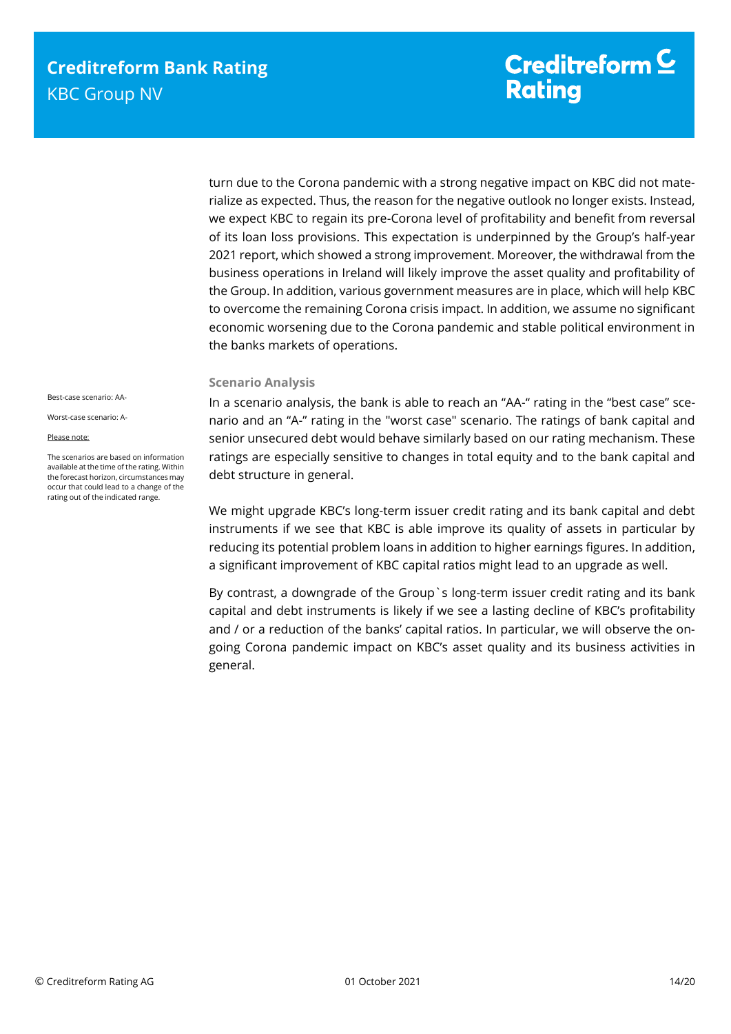turn due to the Corona pandemic with a strong negative impact on KBC did not materialize as expected. Thus, the reason for the negative outlook no longer exists. Instead, we expect KBC to regain its pre-Corona level of profitability and benefit from reversal of its loan loss provisions. This expectation is underpinned by the Group's half-year 2021 report, which showed a strong improvement. Moreover, the withdrawal from the business operations in Ireland will likely improve the asset quality and profitability of the Group. In addition, various government measures are in place, which will help KBC to overcome the remaining Corona crisis impact. In addition, we assume no significant economic worsening due to the Corona pandemic and stable political environment in the banks markets of operations.

### **Scenario Analysis**

In a scenario analysis, the bank is able to reach an "AA-" rating in the "best case" scenario and an "A-" rating in the "worst case" scenario. The ratings of bank capital and senior unsecured debt would behave similarly based on our rating mechanism. These ratings are especially sensitive to changes in total equity and to the bank capital and debt structure in general.

We might upgrade KBC's long-term issuer credit rating and its bank capital and debt instruments if we see that KBC is able improve its quality of assets in particular by reducing its potential problem loans in addition to higher earnings figures. In addition, a significant improvement of KBC capital ratios might lead to an upgrade as well.

By contrast, a downgrade of the Group`s long-term issuer credit rating and its bank capital and debt instruments is likely if we see a lasting decline of KBC's profitability and / or a reduction of the banks' capital ratios. In particular, we will observe the ongoing Corona pandemic impact on KBC's asset quality and its business activities in general.

Best-case scenario: AA-

Worst-case scenario: A-

#### Please note:

The scenarios are based on information available at the time of the rating. Within the forecast horizon, circumstances may occur that could lead to a change of the rating out of the indicated range.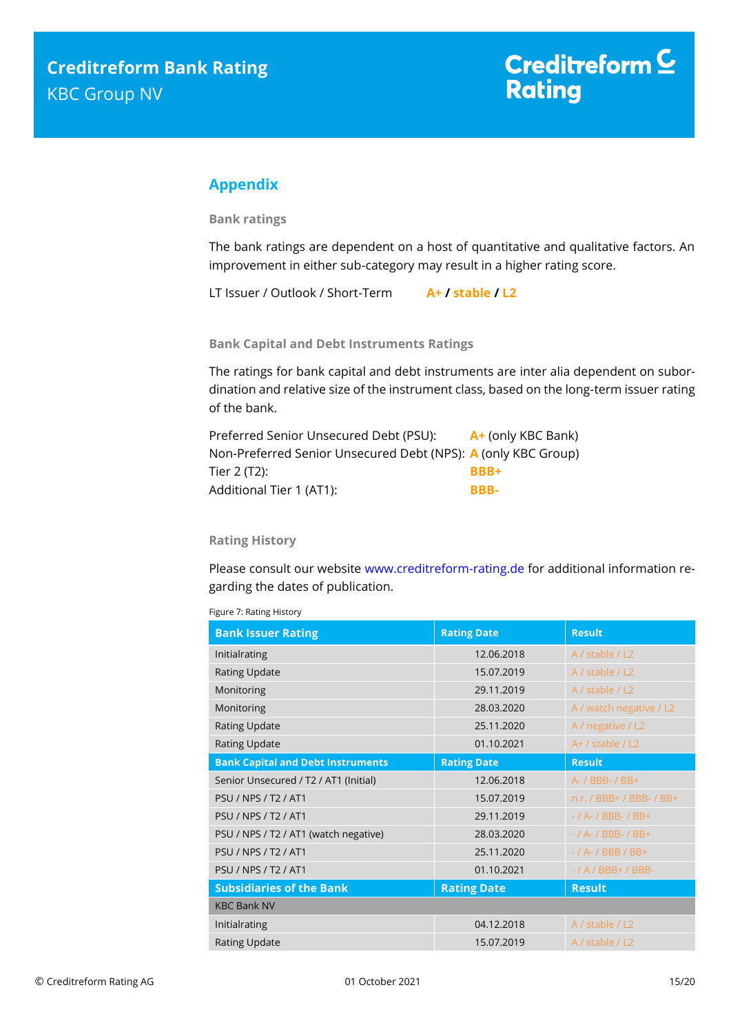# <span id="page-14-0"></span>**Appendix**

**Bank ratings**

The bank ratings are dependent on a host of quantitative and qualitative factors. An improvement in either sub-category may result in a higher rating score.

LT Issuer / Outlook / Short-Term **A+ / stable / L2**

**Bank Capital and Debt Instruments Ratings**

The ratings for bank capital and debt instruments are inter alia dependent on subordination and relative size of the instrument class, based on the long-term issuer rating of the bank.

| Preferred Senior Unsecured Debt (PSU):                        | A+ (only KBC Bank) |
|---------------------------------------------------------------|--------------------|
| Non-Preferred Senior Unsecured Debt (NPS): A (only KBC Group) |                    |
| Tier 2 (T2):                                                  | <b>BBB+</b>        |
| Additional Tier 1 (AT1):                                      | BBB-               |

### **Rating History**

Please consult our website [www.creditreform-rating.de](http://www.creditreform-rating.de/) for additional information regarding the dates of publication.

Figure 7: Rating History

| <b>Bank Issuer Rating</b>                | <b>Rating Date</b> | <b>Result</b>            |  |  |
|------------------------------------------|--------------------|--------------------------|--|--|
| Initialrating                            | 12.06.2018         | A / stable / L2          |  |  |
| <b>Rating Update</b>                     | 15.07.2019         | A / stable / L2          |  |  |
| Monitoring                               | 29.11.2019         | A / stable / L2          |  |  |
| Monitoring                               | 28.03.2020         | A / watch negative / L2  |  |  |
| <b>Rating Update</b>                     | 25.11.2020         | A / negative / L2        |  |  |
| <b>Rating Update</b>                     | 01.10.2021         | $A+$ / stable / L2       |  |  |
| <b>Bank Capital and Debt Instruments</b> | <b>Rating Date</b> | <b>Result</b>            |  |  |
| Senior Unsecured / T2 / AT1 (Initial)    | 12.06.2018         | A- / BBB- / BB+          |  |  |
| <b>PSU / NPS / T2 / AT1</b>              | 15.07.2019         | n.r. / BBB+ / BBB- / BB+ |  |  |
| <b>PSU / NPS / T2 / AT1</b>              | 29.11.2019         | $-$ / A- / BBB- / BB+    |  |  |
| PSU / NPS / T2 / AT1 (watch negative)    | 28.03.2020         | $-$ / A- / BBB- / BB+    |  |  |
| <b>PSU / NPS / T2 / AT1</b>              | 25.11.2020         | $-$ / A- / BBB / BB+     |  |  |
| <b>PSU / NPS / T2 / AT1</b>              | 01.10.2021         | $-$ / A / BBB+ / BBB-    |  |  |
| <b>Subsidiaries of the Bank</b>          | <b>Rating Date</b> | <b>Result</b>            |  |  |
| <b>KBC Bank NV</b>                       |                    |                          |  |  |
| Initialrating                            | 04.12.2018         | A / stable / L2          |  |  |
| <b>Rating Update</b>                     | 15.07.2019         | A / stable / L2          |  |  |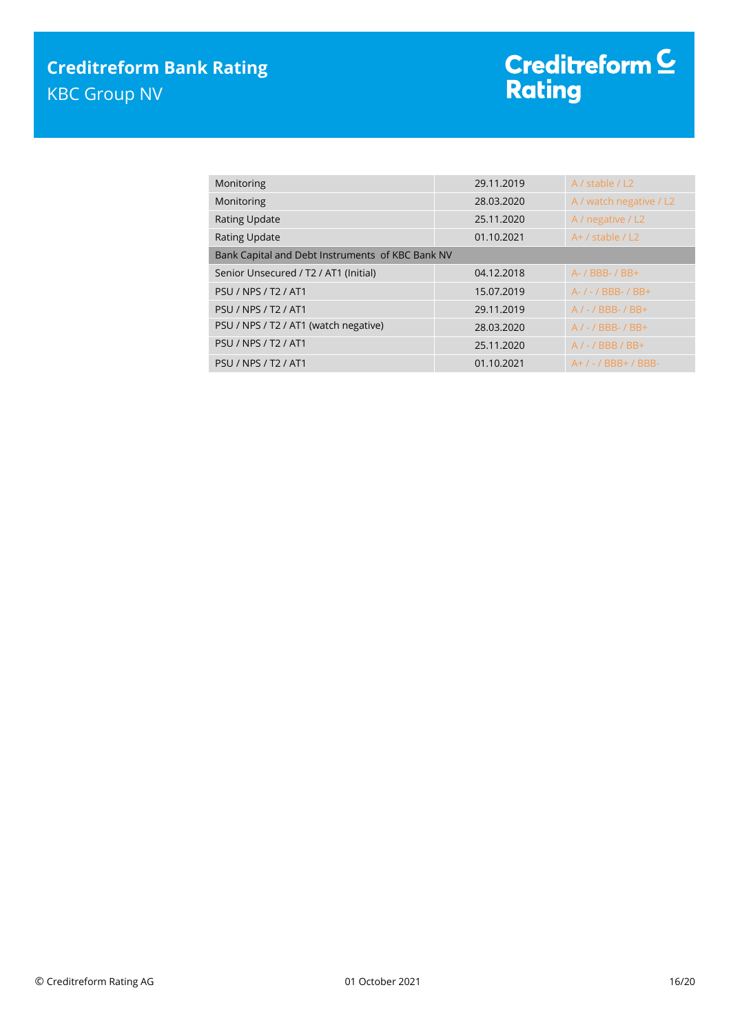| Monitoring                                       | 29.11.2019 | A / stable / L2         |  |  |
|--------------------------------------------------|------------|-------------------------|--|--|
| Monitoring                                       | 28.03.2020 | A / watch negative / L2 |  |  |
| <b>Rating Update</b>                             | 25.11.2020 | A / negative / L2       |  |  |
| <b>Rating Update</b>                             | 01.10.2021 | $A+$ / stable / L2      |  |  |
| Bank Capital and Debt Instruments of KBC Bank NV |            |                         |  |  |
| Senior Unsecured / T2 / AT1 (Initial)            | 04.12.2018 | A- / BBB- / BB+         |  |  |
| <b>PSU / NPS / T2 / AT1</b>                      | 15.07.2019 | A- / - / BBB- / BB+     |  |  |
| <b>PSU / NPS / T2 / AT1</b>                      | 29.11.2019 | $A/-$ / BBB- / BB+      |  |  |
| PSU / NPS / T2 / AT1 (watch negative)            | 28.03.2020 | $A/-$ / BBB- / BB+      |  |  |
| <b>PSU / NPS / T2 / AT1</b>                      | 25.11.2020 | $A/-$ / BBB / BB+       |  |  |
| <b>PSU / NPS / T2 / AT1</b>                      | 01.10.2021 | $A+$ / - / BBB+ / BBB-  |  |  |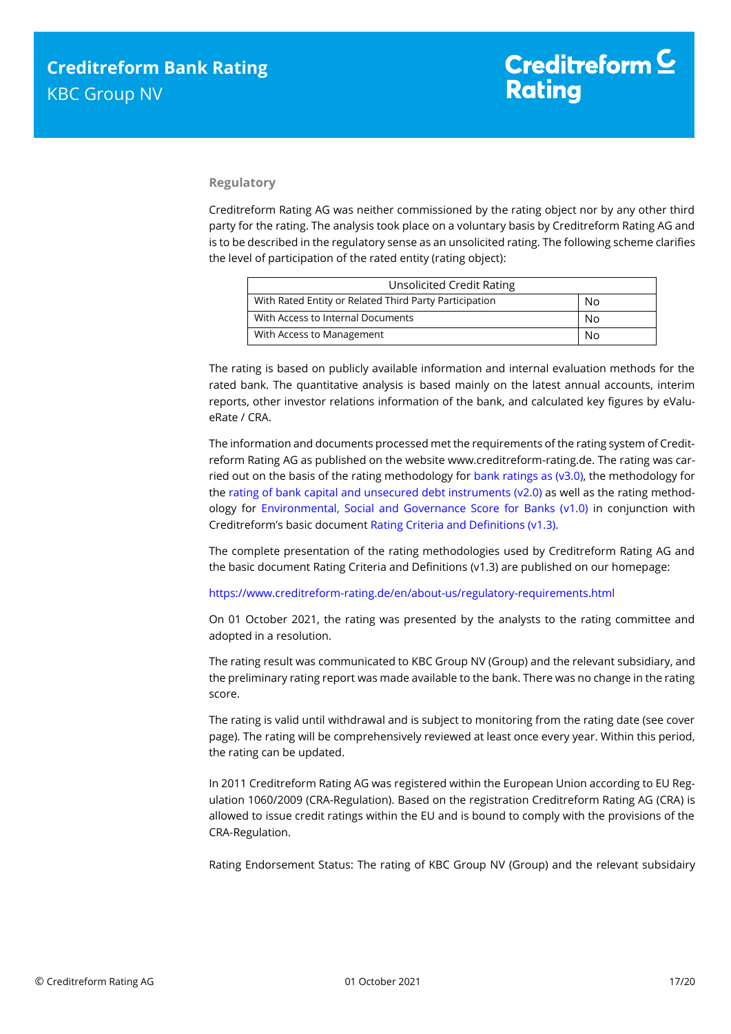### **Regulatory**

Creditreform Rating AG was neither commissioned by the rating object nor by any other third party for the rating. The analysis took place on a voluntary basis by Creditreform Rating AG and is to be described in the regulatory sense as an unsolicited rating. The following scheme clarifies the level of participation of the rated entity (rating object):

| <b>Unsolicited Credit Rating</b>                       |    |
|--------------------------------------------------------|----|
| With Rated Entity or Related Third Party Participation | No |
| With Access to Internal Documents                      | No |
| With Access to Management                              | No |

The rating is based on publicly available information and internal evaluation methods for the rated bank. The quantitative analysis is based mainly on the latest annual accounts, interim reports, other investor relations information of the bank, and calculated key figures by eValueRate / CRA.

The information and documents processed met the requirements of the rating system of Creditreform Rating AG as published on the website www.creditreform-rating.de. The rating was carried out on the basis of the rating methodology for [bank ratings as \(v3.0\),](https://www.creditreform-rating.de/en/about-us/regulatory-requirements.html?file=files/content/downloads/Externes%20Rating/Regulatorische%20Anforderungen/EN/Ratingmethodiken%20EN/Rating%20Methodology%20Bank%20Ratings%20v3.0.pdf) the methodology for the [rating of bank capital and unsecured debt instruments \(v2.0\)](https://www.creditreform-rating.de/en/about-us/regulatory-requirements.html?file=files/content/downloads/Externes%20Rating/Regulatorische%20Anforderungen/EN/Ratingmethodiken%20EN/Bank%20Capital%20and%20Unsecured%20Debt%20Instruments%20Methodology.pdf) as well as the rating methodology for [Environmental, Social and Governance Score for Banks \(v1.0\)](https://www.creditreform-rating.de/en/about-us/regulatory-requirements.html?file=files/content/downloads/Externes%20Rating/Regulatorische%20Anforderungen/EN/Ratingmethodiken%20EN/Rating%20Methodology%20ESG%20v1.0.pdf) in conjunction with Creditreform's basic document [Rating Criteria and Definitions \(v1.3\).](https://www.creditreform-rating.de/en/about-us/regulatory-requirements.html?file=files/content/downloads/Externes%20Rating/Regulatorische%20Anforderungen/EN/Ratingmethodiken%20EN/CRAG%20Rating%20Criteria%20and%20Definitions.pdf)

The complete presentation of the rating methodologies used by Creditreform Rating AG and the basic document Rating Criteria and Definitions (v1.3) are published on our homepage:

<https://www.creditreform-rating.de/en/about-us/regulatory-requirements.html>

On 01 October 2021, the rating was presented by the analysts to the rating committee and adopted in a resolution.

The rating result was communicated to KBC Group NV (Group) and the relevant subsidiary, and the preliminary rating report was made available to the bank. There was no change in the rating score.

The rating is valid until withdrawal and is subject to monitoring from the rating date (see cover page). The rating will be comprehensively reviewed at least once every year. Within this period, the rating can be updated.

In 2011 Creditreform Rating AG was registered within the European Union according to EU Regulation 1060/2009 (CRA-Regulation). Based on the registration Creditreform Rating AG (CRA) is allowed to issue credit ratings within the EU and is bound to comply with the provisions of the CRA-Regulation.

Rating Endorsement Status: The rating of KBC Group NV (Group) and the relevant subsidairy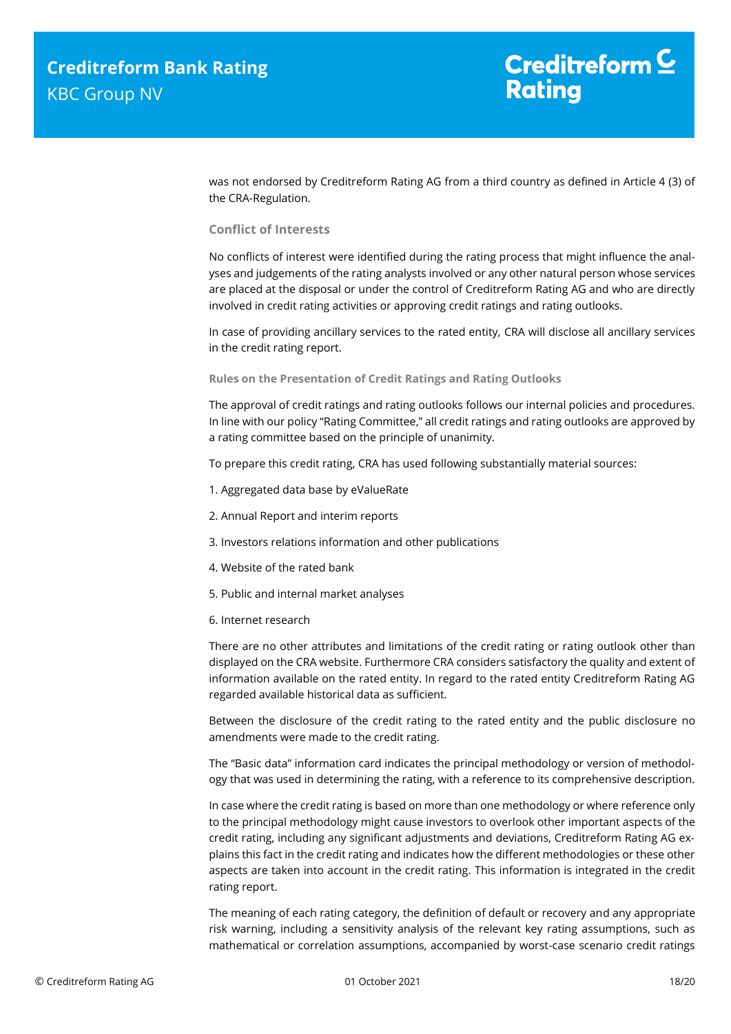was not endorsed by Creditreform Rating AG from a third country as defined in Article 4 (3) of the CRA-Regulation.

#### **Conflict of Interests**

No conflicts of interest were identified during the rating process that might influence the analyses and judgements of the rating analysts involved or any other natural person whose services are placed at the disposal or under the control of Creditreform Rating AG and who are directly involved in credit rating activities or approving credit ratings and rating outlooks.

In case of providing ancillary services to the rated entity, CRA will disclose all ancillary services in the credit rating report.

#### **Rules on the Presentation of Credit Ratings and Rating Outlooks**

The approval of credit ratings and rating outlooks follows our internal policies and procedures. In line with our policy "Rating Committee," all credit ratings and rating outlooks are approved by a rating committee based on the principle of unanimity.

To prepare this credit rating, CRA has used following substantially material sources:

- 1. Aggregated data base by eValueRate
- 2. Annual Report and interim reports
- 3. Investors relations information and other publications
- 4. Website of the rated bank
- 5. Public and internal market analyses
- 6. Internet research

There are no other attributes and limitations of the credit rating or rating outlook other than displayed on the CRA website. Furthermore CRA considers satisfactory the quality and extent of information available on the rated entity. In regard to the rated entity Creditreform Rating AG regarded available historical data as sufficient.

Between the disclosure of the credit rating to the rated entity and the public disclosure no amendments were made to the credit rating.

The "Basic data" information card indicates the principal methodology or version of methodology that was used in determining the rating, with a reference to its comprehensive description.

In case where the credit rating is based on more than one methodology or where reference only to the principal methodology might cause investors to overlook other important aspects of the credit rating, including any significant adjustments and deviations, Creditreform Rating AG explains this fact in the credit rating and indicates how the different methodologies or these other aspects are taken into account in the credit rating. This information is integrated in the credit rating report.

The meaning of each rating category, the definition of default or recovery and any appropriate risk warning, including a sensitivity analysis of the relevant key rating assumptions, such as mathematical or correlation assumptions, accompanied by worst-case scenario credit ratings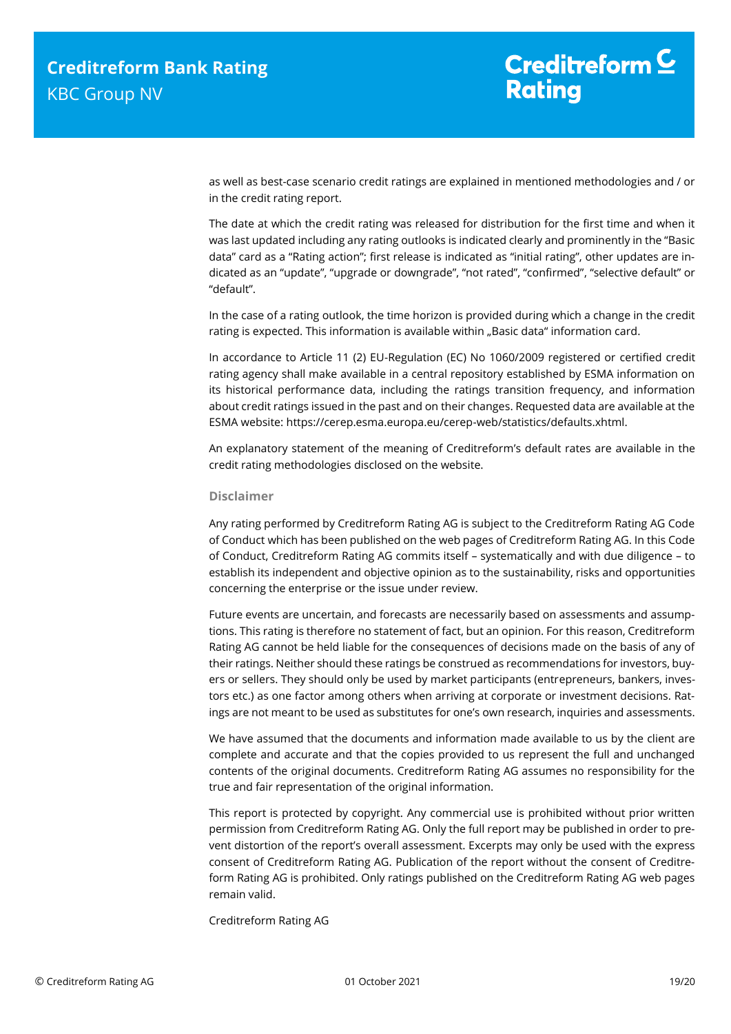as well as best-case scenario credit ratings are explained in mentioned methodologies and / or in the credit rating report.

The date at which the credit rating was released for distribution for the first time and when it was last updated including any rating outlooks is indicated clearly and prominently in the "Basic data" card as a "Rating action"; first release is indicated as "initial rating", other updates are indicated as an "update", "upgrade or downgrade", "not rated", "confirmed", "selective default" or "default".

In the case of a rating outlook, the time horizon is provided during which a change in the credit rating is expected. This information is available within "Basic data" information card.

In accordance to Article 11 (2) EU-Regulation (EC) No 1060/2009 registered or certified credit rating agency shall make available in a central repository established by ESMA information on its historical performance data, including the ratings transition frequency, and information about credit ratings issued in the past and on their changes. Requested data are available at the ESMA website: https://cerep.esma.europa.eu/cerep-web/statistics/defaults.xhtml.

An explanatory statement of the meaning of Creditreform's default rates are available in the credit rating methodologies disclosed on the website.

#### **Disclaimer**

Any rating performed by Creditreform Rating AG is subject to the Creditreform Rating AG Code of Conduct which has been published on the web pages of Creditreform Rating AG. In this Code of Conduct, Creditreform Rating AG commits itself – systematically and with due diligence – to establish its independent and objective opinion as to the sustainability, risks and opportunities concerning the enterprise or the issue under review.

Future events are uncertain, and forecasts are necessarily based on assessments and assumptions. This rating is therefore no statement of fact, but an opinion. For this reason, Creditreform Rating AG cannot be held liable for the consequences of decisions made on the basis of any of their ratings. Neither should these ratings be construed as recommendations for investors, buyers or sellers. They should only be used by market participants (entrepreneurs, bankers, investors etc.) as one factor among others when arriving at corporate or investment decisions. Ratings are not meant to be used as substitutes for one's own research, inquiries and assessments.

We have assumed that the documents and information made available to us by the client are complete and accurate and that the copies provided to us represent the full and unchanged contents of the original documents. Creditreform Rating AG assumes no responsibility for the true and fair representation of the original information.

This report is protected by copyright. Any commercial use is prohibited without prior written permission from Creditreform Rating AG. Only the full report may be published in order to prevent distortion of the report's overall assessment. Excerpts may only be used with the express consent of Creditreform Rating AG. Publication of the report without the consent of Creditreform Rating AG is prohibited. Only ratings published on the Creditreform Rating AG web pages remain valid.

Creditreform Rating AG